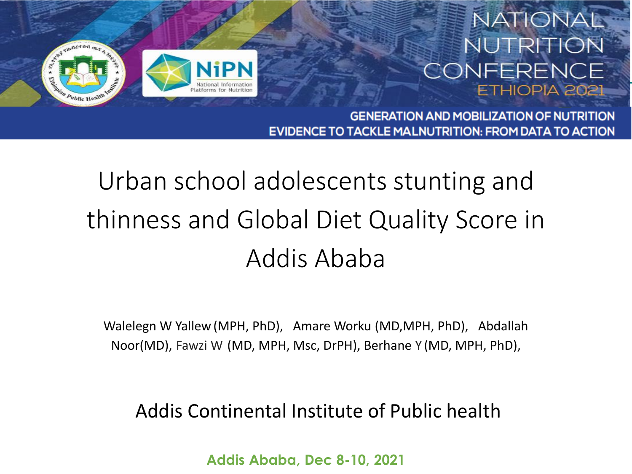

#### **NATIONAL** NUTRITION CONFERENCE ETHIOPIA 2021

**GENERATION AND MOBILIZATION OF NUTRITION EVIDENCE TO TACKLE MALNUTRITION: FROM DATA TO ACTION** 

#### Urban school adolescents stunting and thinness and Global Diet Quality Score in Addis Ababa

Walelegn W Yallew (MPH, PhD), Amare Worku (MD,MPH, PhD), Abdallah Noor(MD), Fawzi W (MD, MPH, Msc, DrPH), Berhane Y (MD, MPH, PhD),

#### Addis Continental Institute of Public health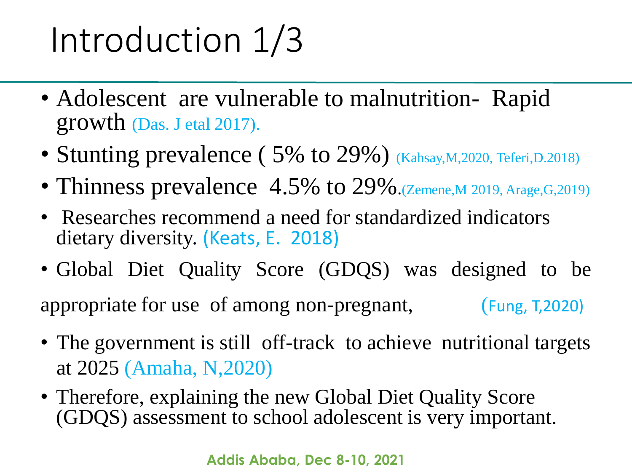## Introduction 1/3

- Adolescent are vulnerable to malnutrition-Rapid growth (Das. J etal 2017).
- Stunting prevalence (5% to 29%) (Kahsay, M, 2020, Teferi, D. 2018)
- Thinness prevalence 4.5% to 29% (Zemene, M 2019, Arage, G, 2019)
- Researches recommend a need for standardized indicators dietary diversity. (Keats, E. 2018)
- Global Diet Quality Score (GDQS) was designed to be appropriate for use of among non-pregnant, (Fung, T,2020)
- The government is still off-track to achieve nutritional targets at 2025 (Amaha, N,2020)
- Therefore, explaining the new Global Diet Quality Score (GDQS) assessment to school adolescent is very important.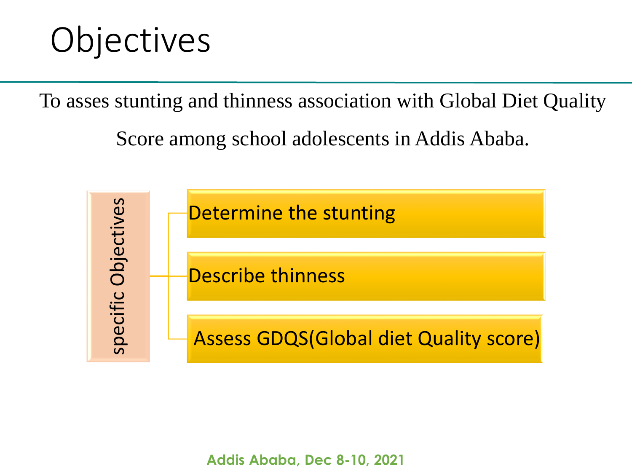#### **Objectives**

To asses stunting and thinness association with Global Diet Quality

Score among school adolescents in Addis Ababa.

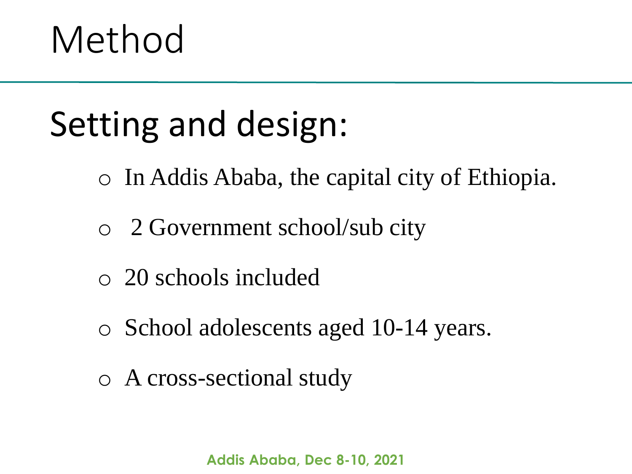# Method

### Setting and design:

- o In Addis Ababa, the capital city of Ethiopia.
- o 2 Government school/sub city
- o 20 schools included
- o School adolescents aged 10-14 years.
- o A cross-sectional study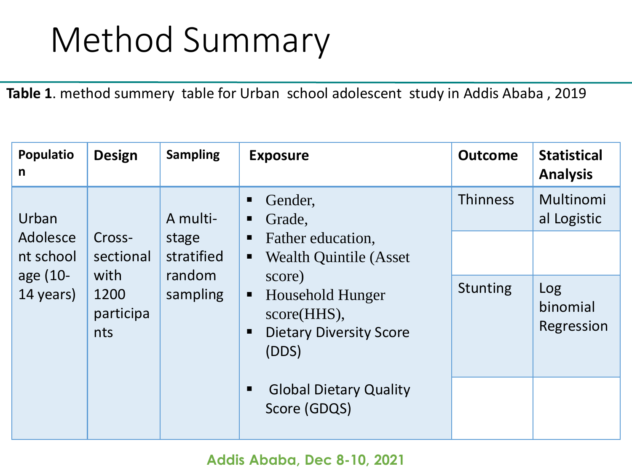#### Method Summary

**Table 1**. method summery table for Urban school adolescent study in Addis Ababa , 2019

| Populatio<br>$\mathsf{n}$                               | <b>Design</b>                                                                                                                             | <b>Sampling</b>                                                                                                                                                  | <b>Exposure</b>                               | <b>Outcome</b>                                            | <b>Statistical</b><br><b>Analysis</b> |
|---------------------------------------------------------|-------------------------------------------------------------------------------------------------------------------------------------------|------------------------------------------------------------------------------------------------------------------------------------------------------------------|-----------------------------------------------|-----------------------------------------------------------|---------------------------------------|
| Urban<br>Adolesce<br>nt school<br>age (10-<br>14 years) | ш<br>A multi-<br>ш<br>Cross-<br>stage<br>stratified<br>sectional<br>random<br>with<br>1200<br>sampling<br>٠<br>participa<br>nts<br>ш<br>п | Gender,<br>Grade,<br>Father education.<br><b>Wealth Quintile (Asset)</b><br>score)<br>Household Hunger<br>score(HHS),<br><b>Dietary Diversity Score</b><br>(DDS) | <b>Thinness</b><br><b>Stunting</b>            | Multinomi<br>al Logistic<br>Log<br>binomial<br>Regression |                                       |
|                                                         |                                                                                                                                           |                                                                                                                                                                  | <b>Global Dietary Quality</b><br>Score (GDQS) |                                                           |                                       |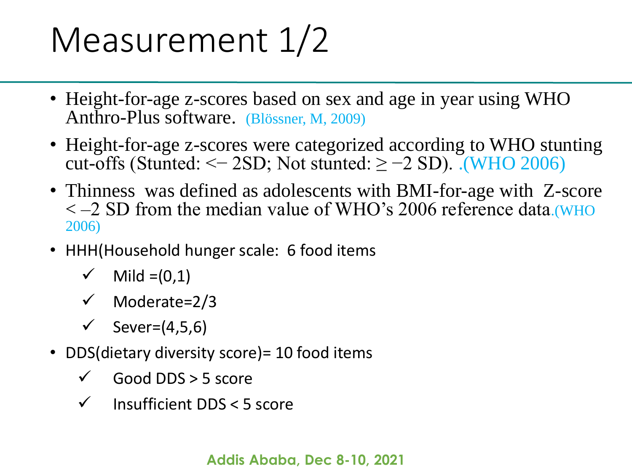#### Measurement  $1/2$

- Height-for-age z-scores based on sex and age in year using WHO Anthro-Plus software. (Blössner, M, 2009)
- Height-for-age z-scores were categorized according to WHO stunting cut-offs (Stunted:  $\le$  -2SD; Not stunted:  $\ge$  -2 SD). .(WHO 2006)
- Thinness was defined as adolescents with BMI-for-age with Z-score < –2 SD from the median value of WHO's 2006 reference data.(WHO 2006)
- HHH(Household hunger scale: 6 food items
	- Mild  $=(0,1)$
	- $\checkmark$  Moderate=2/3
	- $\checkmark$  Sever=(4,5,6)
- DDS(dietary diversity score) = 10 food items
	- Good DDS > 5 score
	- $\checkmark$  Insufficient DDS < 5 score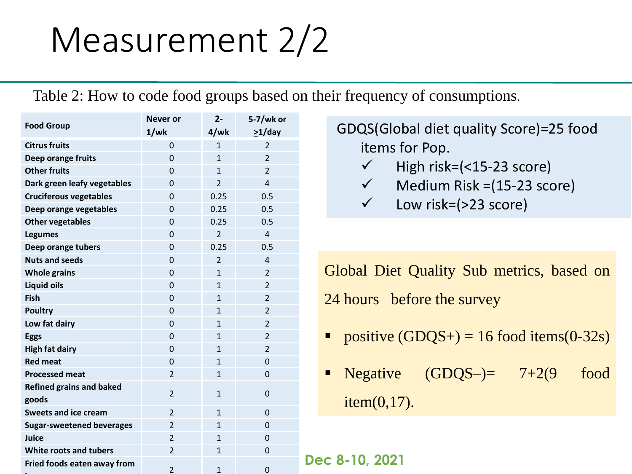### Measurement 2/2

Table 2: How to code food groups based on their frequency of consumptions.

| <b>Food Group</b>                | <b>Never or</b> | $2 -$                    | 5-7/wk or                |
|----------------------------------|-----------------|--------------------------|--------------------------|
|                                  | 1/wk            | 4/wk                     | $>1$ /day                |
| <b>Citrus fruits</b>             | 0               | $\mathbf{1}$             | $\overline{2}$           |
| Deep orange fruits               | $\Omega$        | $\mathbf{1}$             | $\overline{\phantom{a}}$ |
| <b>Other fruits</b>              | $\overline{0}$  | $\mathbf{1}$             | $\overline{2}$           |
| Dark green leafy vegetables      | $\Omega$        | $\overline{2}$           | 4                        |
| <b>Cruciferous vegetables</b>    | 0               | 0.25                     | 0.5                      |
| Deep orange vegetables           | 0               | 0.25                     | 0.5                      |
| <b>Other vegetables</b>          | $\overline{0}$  | 0.25                     | 0.5                      |
| <b>Legumes</b>                   | $\overline{0}$  | $\overline{2}$           | 4                        |
| Deep orange tubers               | $\overline{0}$  | 0.25                     | 0.5                      |
| <b>Nuts and seeds</b>            | $\Omega$        | $\overline{\phantom{a}}$ | 4                        |
| <b>Whole grains</b>              | 0               | $\mathbf{1}$             | 2                        |
| <b>Liquid oils</b>               | 0               | $\mathbf{1}$             | $\overline{2}$           |
| Fish                             | 0               | $\mathbf{1}$             | $\overline{2}$           |
| <b>Poultry</b>                   | 0               | $\mathbf{1}$             | $\overline{2}$           |
| Low fat dairy                    | $\overline{0}$  | $\mathbf{1}$             | $\overline{2}$           |
| <b>Eggs</b>                      | 0               | $\mathbf{1}$             | $\overline{2}$           |
| <b>High fat dairy</b>            | $\overline{0}$  | $\mathbf{1}$             | $\overline{2}$           |
| <b>Red meat</b>                  | 0               | $\mathbf{1}$             | 0                        |
| <b>Processed meat</b>            | $\overline{2}$  | $\mathbf{1}$             | 0                        |
| <b>Refined grains and baked</b>  | $\mathfrak{p}$  | $\mathbf{1}$             | 0                        |
| goods                            |                 |                          |                          |
| <b>Sweets and ice cream</b>      | $\overline{2}$  | $\mathbf{1}$             | 0                        |
| <b>Sugar-sweetened beverages</b> | 2               | $\mathbf{1}$             | 0                        |
| Juice                            | $\overline{2}$  | $\mathbf{1}$             | 0                        |
| <b>White roots and tubers</b>    | $\overline{2}$  | $\mathbf{1}$             | 0                        |
| Fried foods eaten away from      | $\overline{2}$  | $\mathbf{1}$             | 0                        |
|                                  |                 |                          |                          |

GDQS(Global diet quality Score)=25 food items for Pop.

- $\checkmark$  High risk=(<15-23 score)
- $\checkmark$  Medium Risk =(15-23 score)
- $\checkmark$  Low risk=(>23 score)

Global Diet Quality Sub metrics, based on 24 hours before the survey

- positive  $(GDQS+) = 16$  food items $(0-32s)$
- Negative  $(GDQS-) = 7+2(9)$  food item(0,17).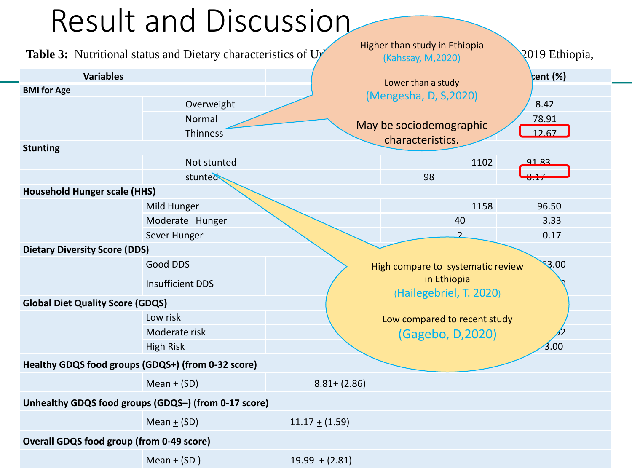#### Result and Discussion

|                                                    | <b>Table 3:</b> Nutritional status and Dietary characteristics of Ur |                    | Higher than study in Ethiopia<br>(Kahssay, M, 2020) | 2019 Ethiopia,    |  |  |
|----------------------------------------------------|----------------------------------------------------------------------|--------------------|-----------------------------------------------------|-------------------|--|--|
| <b>Variables</b>                                   |                                                                      |                    | Lower than a study                                  | rent (%)          |  |  |
| <b>BMI</b> for Age                                 |                                                                      |                    | (Mengesha, D, S, 2020)                              |                   |  |  |
|                                                    | Overweight                                                           |                    |                                                     | 8.42              |  |  |
|                                                    | Normal                                                               |                    | May be sociodemographic                             | 78.91             |  |  |
|                                                    | Thinness                                                             |                    | characteristics.                                    | 12.67             |  |  |
| <b>Stunting</b>                                    |                                                                      |                    |                                                     |                   |  |  |
|                                                    | Not stunted                                                          |                    | 1102                                                | 91.83             |  |  |
|                                                    | stunted                                                              |                    | 98                                                  |                   |  |  |
| <b>Household Hunger scale (HHS)</b>                |                                                                      |                    |                                                     |                   |  |  |
|                                                    | Mild Hunger                                                          |                    | 1158                                                | 96.50             |  |  |
|                                                    | Moderate Hunger                                                      |                    | 40                                                  | 3.33              |  |  |
|                                                    | Sever Hunger                                                         |                    | $\overline{\mathcal{L}}$                            | 0.17              |  |  |
| <b>Dietary Diversity Score (DDS)</b>               |                                                                      |                    |                                                     |                   |  |  |
|                                                    | Good DDS                                                             |                    | High compare to systematic review                   | $\mathcal{S}$ .00 |  |  |
|                                                    | <b>Insufficient DDS</b>                                              |                    | in Ethiopia<br>(Hailegebriel, T. 2020)              |                   |  |  |
| <b>Global Diet Quality Score (GDQS)</b>            |                                                                      |                    |                                                     |                   |  |  |
|                                                    | Low risk                                                             |                    | Low compared to recent study                        |                   |  |  |
|                                                    | Moderate risk                                                        | (Gagebo, D, 2020)  |                                                     |                   |  |  |
|                                                    | <b>High Risk</b>                                                     |                    |                                                     | 3.00              |  |  |
| Healthy GDQS food groups (GDQS+) (from 0-32 score) |                                                                      |                    |                                                     |                   |  |  |
|                                                    | Mean $+$ (SD)                                                        | $8.81 + (2.86)$    |                                                     |                   |  |  |
|                                                    | Unhealthy GDQS food groups (GDQS-) (from 0-17 score)                 |                    |                                                     |                   |  |  |
|                                                    | Mean $\pm$ (SD)                                                      | $11.17 \pm (1.59)$ |                                                     |                   |  |  |
| <b>Overall GDQS food group (from 0-49 score)</b>   |                                                                      |                    |                                                     |                   |  |  |
|                                                    | Mean $\pm$ (SD)                                                      | $19.99 + (2.81)$   |                                                     |                   |  |  |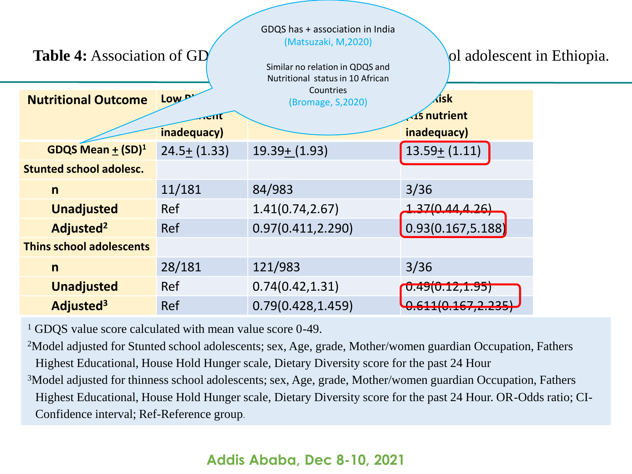| <b>Table 4: Association of GD</b> |                 | GDQS has + association in India<br>(Matsuzaki, M, 2020)<br>Similar no relation in QDQS and<br>Nutritional status in 10 African | ol adolescent in Ethiopia.          |  |
|-----------------------------------|-----------------|--------------------------------------------------------------------------------------------------------------------------------|-------------------------------------|--|
| <b>Nutritional Outcome</b>        | Low p.          | Countries<br>(Bromage, S,2020)                                                                                                 | ∕isk                                |  |
|                                   | inadequacy)     |                                                                                                                                | $\sqrt{15}$ nutrient<br>inadequacy) |  |
| GDQS Mean $+$ $(SD)^1$            | $24.5 + (1.33)$ | $19.39 + (1.93)$                                                                                                               | $13.59 + (1.11)$                    |  |
| <b>Stunted school adolesc.</b>    |                 |                                                                                                                                |                                     |  |
| $\mathsf{n}$                      | 11/181          | 84/983                                                                                                                         | 3/36                                |  |
| <b>Unadjusted</b>                 | Ref             | 1.41(0.74, 2.67)                                                                                                               | <u>1 3710 AA A 26)</u>              |  |
| Adjusted <sup>2</sup>             | <b>Ref</b>      | 0.97(0.411, 2.290)                                                                                                             | 0.93(0.167, 5.188)                  |  |
| <b>Thins school adolescents</b>   |                 |                                                                                                                                |                                     |  |
| $\mathsf{n}$                      | 28/181          | 121/983                                                                                                                        | 3/36                                |  |
| <b>Unadjusted</b>                 | Ref             | 0.74(0.42, 1.31)                                                                                                               | 0.49(0.12, 1.95)                    |  |
| Adjusted <sup>3</sup>             | Ref             | 0.79(0.428, 1.459)                                                                                                             | 61110157772<br>J.VIIIV.IV/JA.LUJ    |  |

<sup>1</sup> GDQS value score calculated with mean value score 0-49.

<sup>2</sup>Model adjusted for Stunted school adolescents; sex, Age, grade, Mother/women guardian Occupation, Fathers Highest Educational, House Hold Hunger scale, Dietary Diversity score for the past 24 Hour

<sup>3</sup>Model adjusted for thinness school adolescents; sex, Age, grade, Mother/women guardian Occupation, Fathers Highest Educational, House Hold Hunger scale, Dietary Diversity score for the past 24 Hour. OR-Odds ratio; CI-Confidence interval; Ref-Reference group.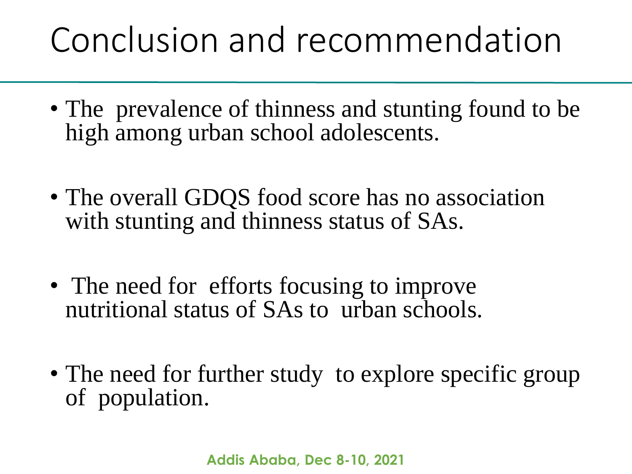### Conclusion and recommendation

- The prevalence of thinness and stunting found to be high among urban school adolescents.
- The overall GDQS food score has no association with stunting and thinness status of SAs.
- The need for efforts focusing to improve nutritional status of SAs to urban schools.
- The need for further study to explore specific group of population.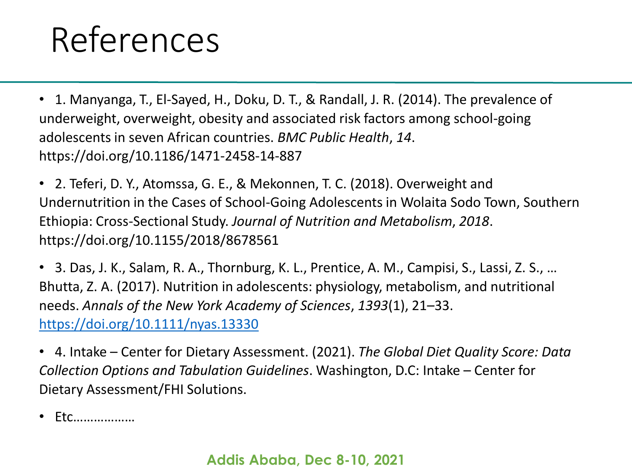#### References

• 1. Manyanga, T., El-Sayed, H., Doku, D. T., & Randall, J. R. (2014). The prevalence of underweight, overweight, obesity and associated risk factors among school-going adolescents in seven African countries. *BMC Public Health*, *14*. https://doi.org/10.1186/1471-2458-14-887

• 2. Teferi, D. Y., Atomssa, G. E., & Mekonnen, T. C. (2018). Overweight and Undernutrition in the Cases of School-Going Adolescents in Wolaita Sodo Town, Southern Ethiopia: Cross-Sectional Study. *Journal of Nutrition and Metabolism*, *2018*. https://doi.org/10.1155/2018/8678561

• 3. Das, J. K., Salam, R. A., Thornburg, K. L., Prentice, A. M., Campisi, S., Lassi, Z. S., … Bhutta, Z. A. (2017). Nutrition in adolescents: physiology, metabolism, and nutritional needs. *Annals of the New York Academy of Sciences*, *1393*(1), 21–33. <https://doi.org/10.1111/nyas.13330>

• 4. Intake – Center for Dietary Assessment. (2021). *The Global Diet Quality Score: Data Collection Options and Tabulation Guidelines*. Washington, D.C: Intake – Center for Dietary Assessment/FHI Solutions.

• Etc………………